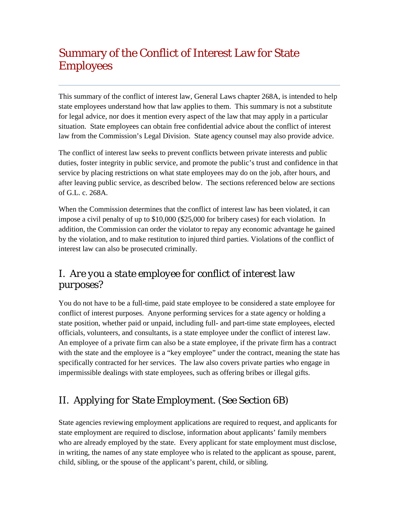# Summary of the Conflict of Interest Law for State Employees

This summary of the conflict of interest law, General Laws chapter 268A, is intended to help state employees understand how that law applies to them. This summary is not a substitute for legal advice, nor does it mention every aspect of the law that may apply in a particular situation. State employees can obtain free confidential advice about the conflict of interest law from the Commission's Legal Division. State agency counsel may also provide advice.

The conflict of interest law seeks to prevent conflicts between private interests and public duties, foster integrity in public service, and promote the public's trust and confidence in that service by placing restrictions on what state employees may do on the job, after hours, and after leaving public service, as described below. The sections referenced below are sections of G.L. c. 268A.

When the Commission determines that the conflict of interest law has been violated, it can impose a civil penalty of up to \$10,000 (\$25,000 for bribery cases) for each violation. In addition, the Commission can order the violator to repay any economic advantage he gained by the violation, and to make restitution to injured third parties. Violations of the conflict of interest law can also be prosecuted criminally.

# I. *Are you a state employee for conflict of interest law purposes?*

You do not have to be a full-time, paid state employee to be considered a state employee for conflict of interest purposes. Anyone performing services for a state agency or holding a state position, whether paid or unpaid, including full- and part-time state employees, elected officials, volunteers, and consultants, is a state employee under the conflict of interest law. An employee of a private firm can also be a state employee, if the private firm has a contract with the state and the employee is a "key employee" under the contract, meaning the state has specifically contracted for her services. The law also covers private parties who engage in impermissible dealings with state employees, such as offering bribes or illegal gifts.

# II. *Applying for State Employment. (See Section 6B)*

State agencies reviewing employment applications are required to request, and applicants for state employment are required to disclose, information about applicants' family members who are already employed by the state. Every applicant for state employment must disclose, in writing, the names of any state employee who is related to the applicant as spouse, parent, child, sibling, or the spouse of the applicant's parent, child, or sibling.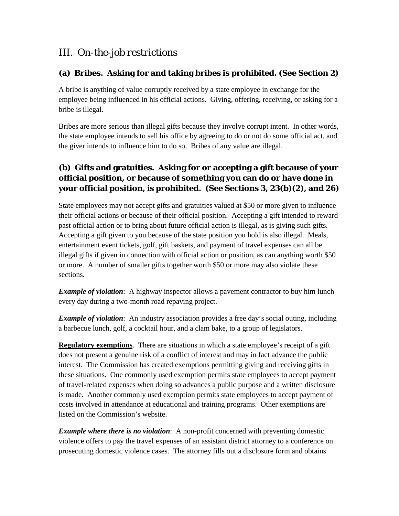## III. *On-the-job restrictions*

#### **(a) Bribes. Asking for and taking bribes is prohibited. (See Section 2)**

A bribe is anything of value corruptly received by a state employee in exchange for the employee being influenced in his official actions. Giving, offering, receiving, or asking for a bribe is illegal.

Bribes are more serious than illegal gifts because they involve corrupt intent. In other words, the state employee intends to sell his office by agreeing to do or not do some official act, and the giver intends to influence him to do so. Bribes of any value are illegal.

## **(b) Gifts and gratuities. Asking for or accepting a gift because of your official position, or because of something you can do or have done in your official position, is prohibited. (See Sections 3, 23(b)(2), and 26)**

State employees may not accept gifts and gratuities valued at \$50 or more given to influence their official actions or because of their official position. Accepting a gift intended to reward past official action or to bring about future official action is illegal, as is giving such gifts. Accepting a gift given to you because of the state position you hold is also illegal. Meals, entertainment event tickets, golf, gift baskets, and payment of travel expenses can all be illegal gifts if given in connection with official action or position, as can anything worth \$50 or more. A number of smaller gifts together worth \$50 or more may also violate these sections.

*Example of violation*: A highway inspector allows a pavement contractor to buy him lunch every day during a two-month road repaving project.

*Example of violation*: An industry association provides a free day's social outing, including a barbecue lunch, golf, a cocktail hour, and a clam bake, to a group of legislators.

**Regulatory exemptions**. There are situations in which a state employee's receipt of a gift does not present a genuine risk of a conflict of interest and may in fact advance the public interest. The Commission has created exemptions permitting giving and receiving gifts in these situations. One commonly used exemption permits state employees to accept payment of travel-related expenses when doing so advances a public purpose and a written disclosure is made. Another commonly used exemption permits state employees to accept payment of costs involved in attendance at educational and training programs. Other exemptions are listed on the Commission's website.

*Example where there is no violation*: A non-profit concerned with preventing domestic violence offers to pay the travel expenses of an assistant district attorney to a conference on prosecuting domestic violence cases. The attorney fills out a disclosure form and obtains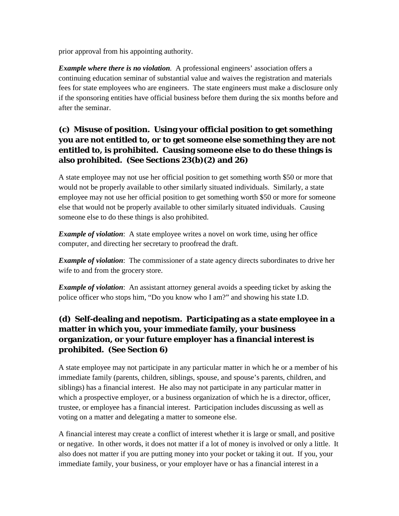prior approval from his appointing authority.

*Example where there is no violation.* A professional engineers' association offers a continuing education seminar of substantial value and waives the registration and materials fees for state employees who are engineers. The state engineers must make a disclosure only if the sponsoring entities have official business before them during the six months before and after the seminar.

## **(c) Misuse of position. Using your official position to get something you are not entitled to, or to get someone else something they are not entitled to, is prohibited. Causing someone else to do these things is also prohibited. (See Sections 23(b)(2) and 26)**

A state employee may not use her official position to get something worth \$50 or more that would not be properly available to other similarly situated individuals. Similarly, a state employee may not use her official position to get something worth \$50 or more for someone else that would not be properly available to other similarly situated individuals. Causing someone else to do these things is also prohibited.

*Example of violation*: A state employee writes a novel on work time, using her office computer, and directing her secretary to proofread the draft.

*Example of violation*: The commissioner of a state agency directs subordinates to drive her wife to and from the grocery store.

*Example of violation*: An assistant attorney general avoids a speeding ticket by asking the police officer who stops him, "Do you know who I am?" and showing his state I.D.

## **(d) Self-dealing and nepotism. Participating as a state employee in a matter in which you, your immediate family, your business organization, or your future employer has a financial interest is prohibited. (See Section 6)**

A state employee may not participate in any particular matter in which he or a member of his immediate family (parents, children, siblings, spouse, and spouse's parents, children, and siblings) has a financial interest. He also may not participate in any particular matter in which a prospective employer, or a business organization of which he is a director, officer, trustee, or employee has a financial interest. Participation includes discussing as well as voting on a matter and delegating a matter to someone else.

A financial interest may create a conflict of interest whether it is large or small, and positive or negative. In other words, it does not matter if a lot of money is involved or only a little. It also does not matter if you are putting money into your pocket or taking it out. If you, your immediate family, your business, or your employer have or has a financial interest in a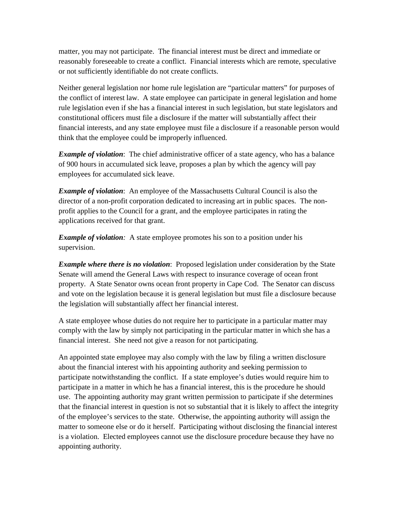matter, you may not participate. The financial interest must be direct and immediate or reasonably foreseeable to create a conflict. Financial interests which are remote, speculative or not sufficiently identifiable do not create conflicts.

Neither general legislation nor home rule legislation are "particular matters" for purposes of the conflict of interest law. A state employee can participate in general legislation and home rule legislation even if she has a financial interest in such legislation, but state legislators and constitutional officers must file a disclosure if the matter will substantially affect their financial interests, and any state employee must file a disclosure if a reasonable person would think that the employee could be improperly influenced.

*Example of violation*: The chief administrative officer of a state agency, who has a balance of 900 hours in accumulated sick leave, proposes a plan by which the agency will pay employees for accumulated sick leave.

*Example of violation*: An employee of the Massachusetts Cultural Council is also the director of a non-profit corporation dedicated to increasing art in public spaces. The nonprofit applies to the Council for a grant, and the employee participates in rating the applications received for that grant.

*Example of violation:* A state employee promotes his son to a position under his supervision.

*Example where there is no violation*: Proposed legislation under consideration by the State Senate will amend the General Laws with respect to insurance coverage of ocean front property. A State Senator owns ocean front property in Cape Cod. The Senator can discuss and vote on the legislation because it is general legislation but must file a disclosure because the legislation will substantially affect her financial interest.

A state employee whose duties do not require her to participate in a particular matter may comply with the law by simply not participating in the particular matter in which she has a financial interest. She need not give a reason for not participating.

An appointed state employee may also comply with the law by filing a written disclosure about the financial interest with his appointing authority and seeking permission to participate notwithstanding the conflict. If a state employee's duties would require him to participate in a matter in which he has a financial interest, this is the procedure he should use. The appointing authority may grant written permission to participate if she determines that the financial interest in question is not so substantial that it is likely to affect the integrity of the employee's services to the state. Otherwise, the appointing authority will assign the matter to someone else or do it herself. Participating without disclosing the financial interest is a violation. Elected employees cannot use the disclosure procedure because they have no appointing authority.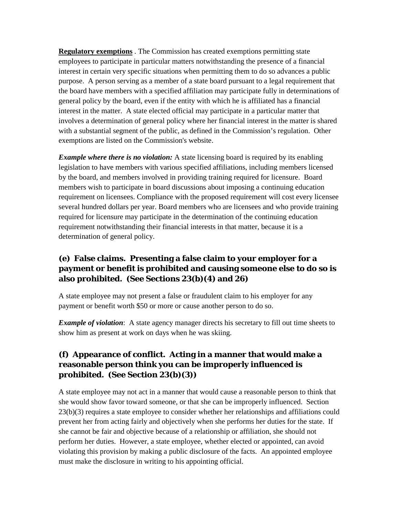**Regulatory exemptions** . The Commission has created exemptions permitting state employees to participate in particular matters notwithstanding the presence of a financial interest in certain very specific situations when permitting them to do so advances a public purpose. A person serving as a member of a state board pursuant to a legal requirement that the board have members with a specified affiliation may participate fully in determinations of general policy by the board, even if the entity with which he is affiliated has a financial interest in the matter. A state elected official may participate in a particular matter that involves a determination of general policy where her financial interest in the matter is shared with a substantial segment of the public, as defined in the Commission's regulation. Other exemptions are listed on the Commission's website.

*Example where there is no violation:* A state licensing board is required by its enabling legislation to have members with various specified affiliations, including members licensed by the board, and members involved in providing training required for licensure. Board members wish to participate in board discussions about imposing a continuing education requirement on licensees. Compliance with the proposed requirement will cost every licensee several hundred dollars per year. Board members who are licensees and who provide training required for licensure may participate in the determination of the continuing education requirement notwithstanding their financial interests in that matter, because it is a determination of general policy.

### **(e) False claims. Presenting a false claim to your employer for a payment or benefit is prohibited and causing someone else to do so is also prohibited. (See Sections 23(b)(4) and 26)**

A state employee may not present a false or fraudulent claim to his employer for any payment or benefit worth \$50 or more or cause another person to do so.

*Example of violation*: A state agency manager directs his secretary to fill out time sheets to show him as present at work on days when he was skiing.

#### **(f) Appearance of conflict. Acting in a manner that would make a reasonable person think you can be improperly influenced is prohibited. (See Section 23(b)(3))**

A state employee may not act in a manner that would cause a reasonable person to think that she would show favor toward someone, or that she can be improperly influenced. Section 23(b)(3) requires a state employee to consider whether her relationships and affiliations could prevent her from acting fairly and objectively when she performs her duties for the state. If she cannot be fair and objective because of a relationship or affiliation, she should not perform her duties. However, a state employee, whether elected or appointed, can avoid violating this provision by making a public disclosure of the facts. An appointed employee must make the disclosure in writing to his appointing official.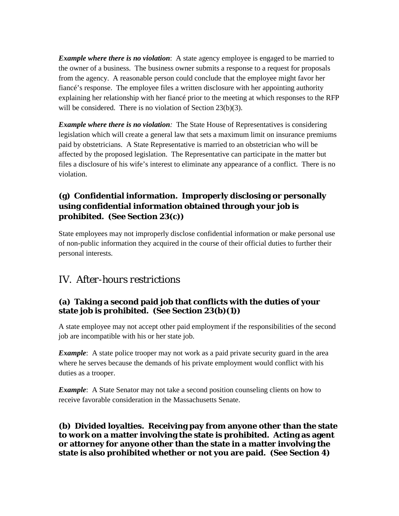*Example where there is no violation*: A state agency employee is engaged to be married to the owner of a business. The business owner submits a response to a request for proposals from the agency. A reasonable person could conclude that the employee might favor her fiancé's response. The employee files a written disclosure with her appointing authority explaining her relationship with her fiancé prior to the meeting at which responses to the RFP will be considered. There is no violation of Section 23(b)(3).

*Example where there is no violation:* The State House of Representatives is considering legislation which will create a general law that sets a maximum limit on insurance premiums paid by obstetricians. A State Representative is married to an obstetrician who will be affected by the proposed legislation. The Representative can participate in the matter but files a disclosure of his wife's interest to eliminate any appearance of a conflict. There is no violation.

## **(g) Confidential information. Improperly disclosing or personally using confidential information obtained through your job is prohibited. (See Section 23(c))**

State employees may not improperly disclose confidential information or make personal use of non-public information they acquired in the course of their official duties to further their personal interests.

## IV. *After-hours restrictions*

#### **(a) Taking a second paid job that conflicts with the duties of your state job is prohibited. (See Section 23(b)(1))**

A state employee may not accept other paid employment if the responsibilities of the second job are incompatible with his or her state job.

*Example*: A state police trooper may not work as a paid private security guard in the area where he serves because the demands of his private employment would conflict with his duties as a trooper.

*Example*: A State Senator may not take a second position counseling clients on how to receive favorable consideration in the Massachusetts Senate.

**(b) Divided loyalties. Receiving pay from anyone other than the state to work on a matter involving the state is prohibited. Acting as agent or attorney for anyone other than the state in a matter involving the state is also prohibited whether or not you are paid. (See Section 4)**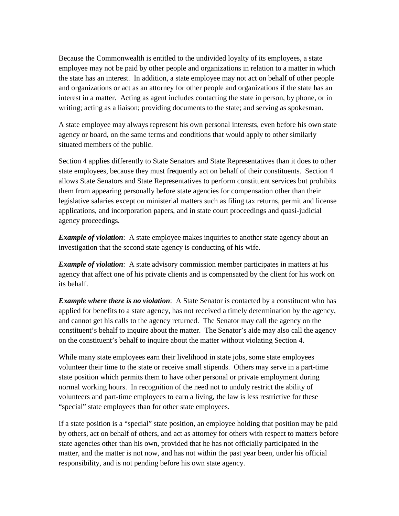Because the Commonwealth is entitled to the undivided loyalty of its employees, a state employee may not be paid by other people and organizations in relation to a matter in which the state has an interest. In addition, a state employee may not act on behalf of other people and organizations or act as an attorney for other people and organizations if the state has an interest in a matter. Acting as agent includes contacting the state in person, by phone, or in writing; acting as a liaison; providing documents to the state; and serving as spokesman.

A state employee may always represent his own personal interests, even before his own state agency or board, on the same terms and conditions that would apply to other similarly situated members of the public.

Section 4 applies differently to State Senators and State Representatives than it does to other state employees, because they must frequently act on behalf of their constituents. Section 4 allows State Senators and State Representatives to perform constituent services but prohibits them from appearing personally before state agencies for compensation other than their legislative salaries except on ministerial matters such as filing tax returns, permit and license applications, and incorporation papers, and in state court proceedings and quasi-judicial agency proceedings.

*Example of violation*: A state employee makes inquiries to another state agency about an investigation that the second state agency is conducting of his wife.

*Example of violation*: A state advisory commission member participates in matters at his agency that affect one of his private clients and is compensated by the client for his work on its behalf.

*Example where there is no violation*: A State Senator is contacted by a constituent who has applied for benefits to a state agency, has not received a timely determination by the agency, and cannot get his calls to the agency returned. The Senator may call the agency on the constituent's behalf to inquire about the matter. The Senator's aide may also call the agency on the constituent's behalf to inquire about the matter without violating Section 4.

While many state employees earn their livelihood in state jobs, some state employees volunteer their time to the state or receive small stipends. Others may serve in a part-time state position which permits them to have other personal or private employment during normal working hours. In recognition of the need not to unduly restrict the ability of volunteers and part-time employees to earn a living, the law is less restrictive for these "special" state employees than for other state employees.

If a state position is a "special" state position, an employee holding that position may be paid by others, act on behalf of others, and act as attorney for others with respect to matters before state agencies other than his own, provided that he has not officially participated in the matter, and the matter is not now, and has not within the past year been, under his official responsibility, and is not pending before his own state agency.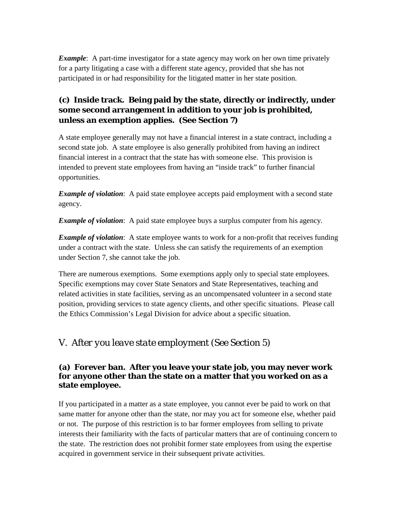*Example*: A part-time investigator for a state agency may work on her own time privately for a party litigating a case with a different state agency, provided that she has not participated in or had responsibility for the litigated matter in her state position.

## **(c) Inside track. Being paid by the state, directly or indirectly, under some second arrangement in addition to your job is prohibited, unless an exemption applies. (See Section 7)**

A state employee generally may not have a financial interest in a state contract, including a second state job. A state employee is also generally prohibited from having an indirect financial interest in a contract that the state has with someone else. This provision is intended to prevent state employees from having an "inside track" to further financial opportunities.

*Example of violation*: A paid state employee accepts paid employment with a second state agency.

*Example of violation*: A paid state employee buys a surplus computer from his agency.

**Example of violation:** A state employee wants to work for a non-profit that receives funding under a contract with the state. Unless she can satisfy the requirements of an exemption under Section 7, she cannot take the job.

There are numerous exemptions. Some exemptions apply only to special state employees. Specific exemptions may cover State Senators and State Representatives, teaching and related activities in state facilities, serving as an uncompensated volunteer in a second state position, providing services to state agency clients, and other specific situations. Please call the Ethics Commission's Legal Division for advice about a specific situation.

## V. *After you leave state employment (See Section 5)*

#### **(a) Forever ban. After you leave your state job, you may never work for anyone other than the state on a matter that you worked on as a state employee.**

If you participated in a matter as a state employee, you cannot ever be paid to work on that same matter for anyone other than the state, nor may you act for someone else, whether paid or not. The purpose of this restriction is to bar former employees from selling to private interests their familiarity with the facts of particular matters that are of continuing concern to the state. The restriction does not prohibit former state employees from using the expertise acquired in government service in their subsequent private activities.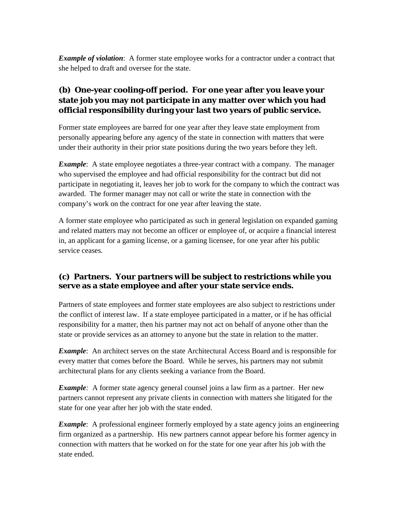*Example of violation*: A former state employee works for a contractor under a contract that she helped to draft and oversee for the state.

## **(b) One-year cooling-off period. For one year after you leave your state job you may not participate in any matter over which you had official responsibility during your last two years of public service.**

Former state employees are barred for one year after they leave state employment from personally appearing before any agency of the state in connection with matters that were under their authority in their prior state positions during the two years before they left.

*Example*: A state employee negotiates a three-year contract with a company. The manager who supervised the employee and had official responsibility for the contract but did not participate in negotiating it, leaves her job to work for the company to which the contract was awarded. The former manager may not call or write the state in connection with the company's work on the contract for one year after leaving the state.

A former state employee who participated as such in general legislation on expanded gaming and related matters may not become an officer or employee of, or acquire a financial interest in, an applicant for a gaming license, or a gaming licensee, for one year after his public service ceases.

#### **(c) Partners. Your partners will be subject to restrictions while you serve as a state employee and after your state service ends.**

Partners of state employees and former state employees are also subject to restrictions under the conflict of interest law. If a state employee participated in a matter, or if he has official responsibility for a matter, then his partner may not act on behalf of anyone other than the state or provide services as an attorney to anyone but the state in relation to the matter.

*Example*: An architect serves on the state Architectural Access Board and is responsible for every matter that comes before the Board. While he serves, his partners may not submit architectural plans for any clients seeking a variance from the Board.

*Example*: A former state agency general counsel joins a law firm as a partner. Her new partners cannot represent any private clients in connection with matters she litigated for the state for one year after her job with the state ended.

*Example*: A professional engineer formerly employed by a state agency joins an engineering firm organized as a partnership. His new partners cannot appear before his former agency in connection with matters that he worked on for the state for one year after his job with the state ended.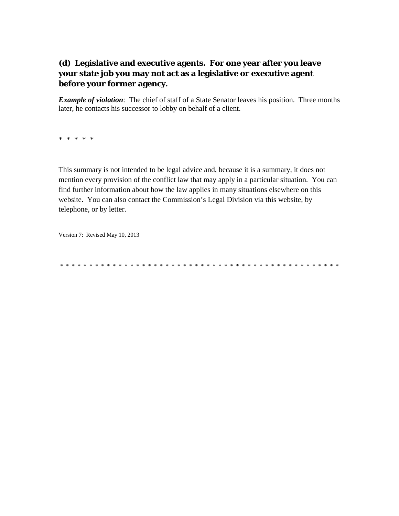## **(d) Legislative and executive agents. For one year after you leave your state job you may not act as a legislative or executive agent before your former agency.**

*Example of violation*: The chief of staff of a State Senator leaves his position. Three months later, he contacts his successor to lobby on behalf of a client.

\* \* \* \* \*

This summary is not intended to be legal advice and, because it is a summary, it does not mention every provision of the conflict law that may apply in a particular situation. You can find further information about how the law applies in many situations elsewhere on this website. You can also contact the Commission's Legal Division via this website, by telephone, or by letter.

Version 7: Revised May 10, 2013

\* \* \* \* \* \* \* \* \* \* \* \* \* \* \* \* \* \* \* \* \* \* \* \* \* \* \* \* \* \* \* \* \* \* \* \* \* \* \* \* \* \* \* \* \* \* \* \*